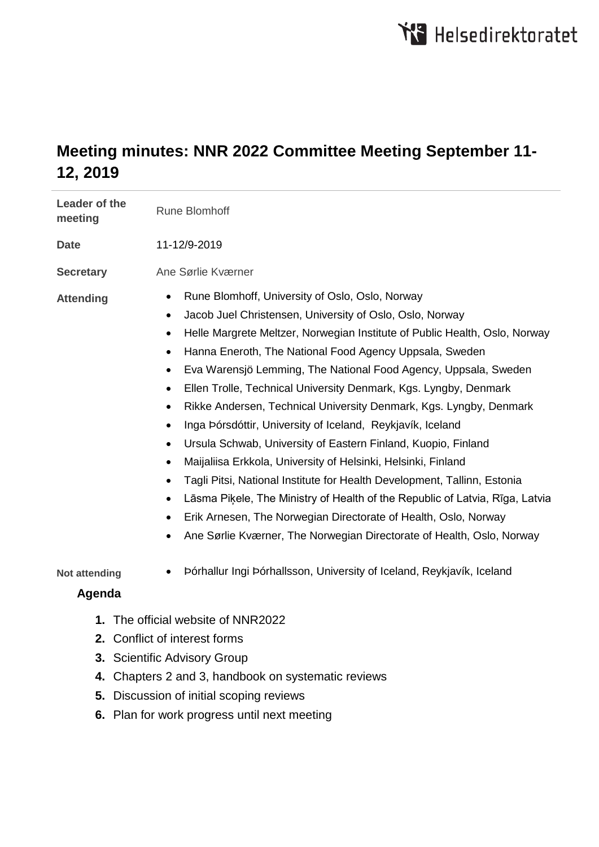# **Meeting minutes: NNR 2022 Committee Meeting September 11- 12, 2019**

| Leader of the<br>meeting                            | <b>Rune Blomhoff</b>                                                                                                                                                                                                                                                                                                                                                                                                                                                                                                                                                                                                                                                                                                                                                                                                                                                                                                                                                                                                                                                                                                                               |
|-----------------------------------------------------|----------------------------------------------------------------------------------------------------------------------------------------------------------------------------------------------------------------------------------------------------------------------------------------------------------------------------------------------------------------------------------------------------------------------------------------------------------------------------------------------------------------------------------------------------------------------------------------------------------------------------------------------------------------------------------------------------------------------------------------------------------------------------------------------------------------------------------------------------------------------------------------------------------------------------------------------------------------------------------------------------------------------------------------------------------------------------------------------------------------------------------------------------|
| <b>Date</b>                                         | 11-12/9-2019                                                                                                                                                                                                                                                                                                                                                                                                                                                                                                                                                                                                                                                                                                                                                                                                                                                                                                                                                                                                                                                                                                                                       |
| <b>Secretary</b>                                    | Ane Sørlie Kværner                                                                                                                                                                                                                                                                                                                                                                                                                                                                                                                                                                                                                                                                                                                                                                                                                                                                                                                                                                                                                                                                                                                                 |
| <b>Attending</b>                                    | Rune Blomhoff, University of Oslo, Oslo, Norway<br>$\bullet$<br>Jacob Juel Christensen, University of Oslo, Oslo, Norway<br>$\bullet$<br>Helle Margrete Meltzer, Norwegian Institute of Public Health, Oslo, Norway<br>$\bullet$<br>Hanna Eneroth, The National Food Agency Uppsala, Sweden<br>$\bullet$<br>Eva Warensjö Lemming, The National Food Agency, Uppsala, Sweden<br>$\bullet$<br>Ellen Trolle, Technical University Denmark, Kgs. Lyngby, Denmark<br>$\bullet$<br>Rikke Andersen, Technical University Denmark, Kgs. Lyngby, Denmark<br>$\bullet$<br>Inga Þórsdóttir, University of Iceland, Reykjavík, Iceland<br>$\bullet$<br>Ursula Schwab, University of Eastern Finland, Kuopio, Finland<br>$\bullet$<br>Maijaliisa Erkkola, University of Helsinki, Helsinki, Finland<br>$\bullet$<br>Tagli Pitsi, National Institute for Health Development, Tallinn, Estonia<br>$\bullet$<br>Lāsma Piķele, The Ministry of Health of the Republic of Latvia, Rīga, Latvia<br>$\bullet$<br>Erik Arnesen, The Norwegian Directorate of Health, Oslo, Norway<br>$\bullet$<br>Ane Sørlie Kværner, The Norwegian Directorate of Health, Oslo, Norway |
| <b>Not attending</b>                                | Þórhallur Ingi Þórhallsson, University of Iceland, Reykjavík, Iceland                                                                                                                                                                                                                                                                                                                                                                                                                                                                                                                                                                                                                                                                                                                                                                                                                                                                                                                                                                                                                                                                              |
| Agenda                                              |                                                                                                                                                                                                                                                                                                                                                                                                                                                                                                                                                                                                                                                                                                                                                                                                                                                                                                                                                                                                                                                                                                                                                    |
| The official website of NNR2022<br>1.               |                                                                                                                                                                                                                                                                                                                                                                                                                                                                                                                                                                                                                                                                                                                                                                                                                                                                                                                                                                                                                                                                                                                                                    |
|                                                     | 2. Conflict of interest forms                                                                                                                                                                                                                                                                                                                                                                                                                                                                                                                                                                                                                                                                                                                                                                                                                                                                                                                                                                                                                                                                                                                      |
|                                                     | 3. Scientific Advisory Group                                                                                                                                                                                                                                                                                                                                                                                                                                                                                                                                                                                                                                                                                                                                                                                                                                                                                                                                                                                                                                                                                                                       |
| 4. Chapters 2 and 3, handbook on systematic reviews |                                                                                                                                                                                                                                                                                                                                                                                                                                                                                                                                                                                                                                                                                                                                                                                                                                                                                                                                                                                                                                                                                                                                                    |

- **5.** Discussion of initial scoping reviews
- **6.** Plan for work progress until next meeting